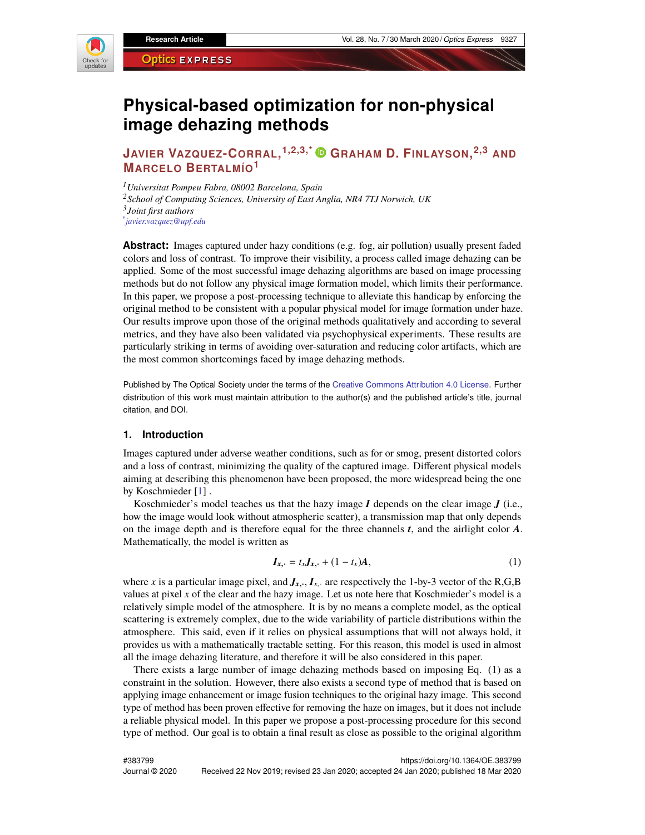

# **Physical-based optimization for non-physical image dehazing methods**

# **JAVIER VAZQUEZ-CORRAL, 1,2,3,\* GRAHAM D. FINLAYSON, 2,3 AND MARCELO BERTALMÍO<sup>1</sup>**

*Universitat Pompeu Fabra, 08002 Barcelona, Spain School of Computing Sciences, University of East Anglia, NR4 7TJ Norwich, UK Joint first authors \* javier.vazquez@upf.edu*

**Abstract:** Images captured under hazy conditions (e.g. fog, air pollution) usually present faded colors and loss of contrast. To improve their visibility, a process called image dehazing can be applied. Some of the most successful image dehazing algorithms are based on image processing methods but do not follow any physical image formation model, which limits their performance. In this paper, we propose a post-processing technique to alleviate this handicap by enforcing the original method to be consistent with a popular physical model for image formation under haze. Our results improve upon those of the original methods qualitatively and according to several metrics, and they have also been validated via psychophysical experiments. These results are particularly striking in terms of avoiding over-saturation and reducing color artifacts, which are the most common shortcomings faced by image dehazing methods.

Published by The Optical Society under the terms of the [Creative Commons Attribution 4.0 License.](http://creativecommons.org/licenses/by/4.0/) Further distribution of this work must maintain attribution to the author(s) and the published article's title, journal citation, and DOI.

### **1. Introduction**

Images captured under adverse weather conditions, such as for or smog, present distorted colors and a loss of contrast, minimizing the quality of the captured image. Different physical models aiming at describing this phenomenon have been proposed, the more widespread being the one by Koschmieder [\[1\]](#page-11-0) .

Koschmieder's model teaches us that the hazy image *I* depends on the clear image *J* (i.e., how the image would look without atmospheric scatter), a transmission map that only depends on the image depth and is therefore equal for the three channels *t*, and the airlight color *A*. Mathematically, the model is written as

$$
\boldsymbol{I}_{x, \cdot} = t_x \boldsymbol{J}_{x, \cdot} + (1 - t_x) \boldsymbol{A}, \tag{1}
$$

where *x* is a particular image pixel, and  $J_{x, \cdot}, I_{x, \cdot}$  are respectively the 1-by-3 vector of the R,G,B values at pixel *x* of the clear and the hazy image. Let us note here that Koschmieder's model is a relatively simple model of the atmosphere. It is by no means a complete model, as the optical scattering is extremely complex, due to the wide variability of particle distributions within the atmosphere. This said, even if it relies on physical assumptions that will not always hold, it provides us with a mathematically tractable setting. For this reason, this model is used in almost all the image dehazing literature, and therefore it will be also considered in this paper.

There exists a large number of image dehazing methods based on imposing Eq. (1) as a constraint in the solution. However, there also exists a second type of method that is based on applying image enhancement or image fusion techniques to the original hazy image. This second type of method has been proven effective for removing the haze on images, but it does not include a reliable physical model. In this paper we propose a post-processing procedure for this second type of method. Our goal is to obtain a final result as close as possible to the original algorithm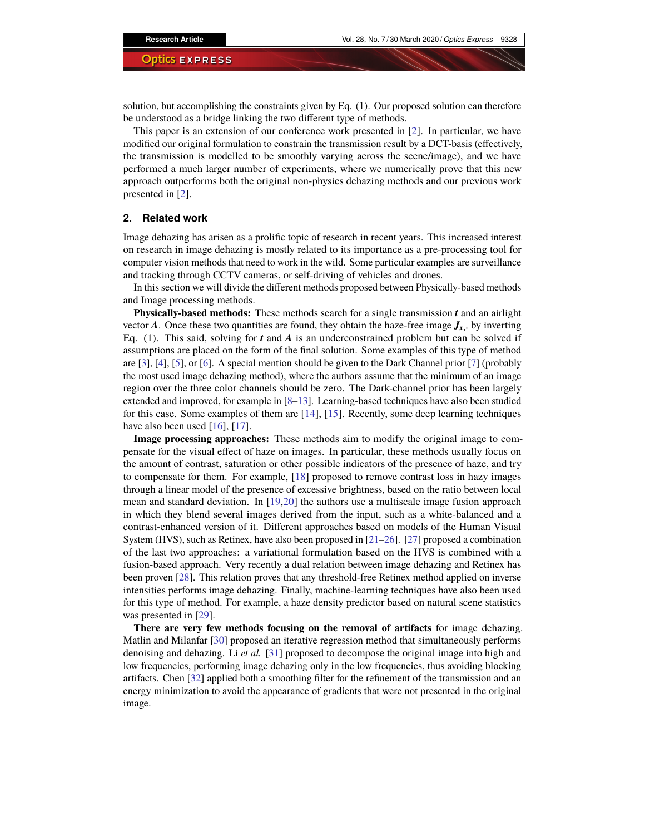solution, but accomplishing the constraints given by Eq. (1). Our proposed solution can therefore be understood as a bridge linking the two different type of methods.

This paper is an extension of our conference work presented in [\[2\]](#page-11-1). In particular, we have modified our original formulation to constrain the transmission result by a DCT-basis (effectively, the transmission is modelled to be smoothly varying across the scene/image), and we have performed a much larger number of experiments, where we numerically prove that this new approach outperforms both the original non-physics dehazing methods and our previous work presented in [\[2\]](#page-11-1).

#### **2. Related work**

Image dehazing has arisen as a prolific topic of research in recent years. This increased interest on research in image dehazing is mostly related to its importance as a pre-processing tool for computer vision methods that need to work in the wild. Some particular examples are surveillance and tracking through CCTV cameras, or self-driving of vehicles and drones.

In this section we will divide the different methods proposed between Physically-based methods and Image processing methods.

**Physically-based methods:** These methods search for a single transmission *t* and an airlight vector *A*. Once these two quantities are found, they obtain the haze-free image  $J_x$ , by inverting Eq. (1). This said, solving for *t* and *A* is an underconstrained problem but can be solved if assumptions are placed on the form of the final solution. Some examples of this type of method are [\[3\]](#page-11-2), [\[4\]](#page-11-3), [\[5\]](#page-11-4), or [\[6\]](#page-11-5). A special mention should be given to the Dark Channel prior [\[7\]](#page-11-6) (probably the most used image dehazing method), where the authors assume that the minimum of an image region over the three color channels should be zero. The Dark-channel prior has been largely extended and improved, for example in [\[8–](#page-11-7)[13\]](#page-11-8). Learning-based techniques have also been studied for this case. Some examples of them are  $[14]$ ,  $[15]$ . Recently, some deep learning techniques have also been used [\[16\]](#page-11-11), [\[17\]](#page-11-12).

**Image processing approaches:** These methods aim to modify the original image to compensate for the visual effect of haze on images. In particular, these methods usually focus on the amount of contrast, saturation or other possible indicators of the presence of haze, and try to compensate for them. For example, [\[18\]](#page-11-13) proposed to remove contrast loss in hazy images through a linear model of the presence of excessive brightness, based on the ratio between local mean and standard deviation. In [\[19](#page-11-14)[,20\]](#page-11-15) the authors use a multiscale image fusion approach in which they blend several images derived from the input, such as a white-balanced and a contrast-enhanced version of it. Different approaches based on models of the Human Visual System (HVS), such as Retinex, have also been proposed in [\[21–](#page-11-16)[26\]](#page-11-17). [\[27\]](#page-12-0) proposed a combination of the last two approaches: a variational formulation based on the HVS is combined with a fusion-based approach. Very recently a dual relation between image dehazing and Retinex has been proven [\[28\]](#page-12-1). This relation proves that any threshold-free Retinex method applied on inverse intensities performs image dehazing. Finally, machine-learning techniques have also been used for this type of method. For example, a haze density predictor based on natural scene statistics was presented in [\[29\]](#page-12-2).

**There are very few methods focusing on the removal of artifacts** for image dehazing. Matlin and Milanfar [\[30\]](#page-12-3) proposed an iterative regression method that simultaneously performs denoising and dehazing. Li *et al.* [\[31\]](#page-12-4) proposed to decompose the original image into high and low frequencies, performing image dehazing only in the low frequencies, thus avoiding blocking artifacts. Chen [\[32\]](#page-12-5) applied both a smoothing filter for the refinement of the transmission and an energy minimization to avoid the appearance of gradients that were not presented in the original image.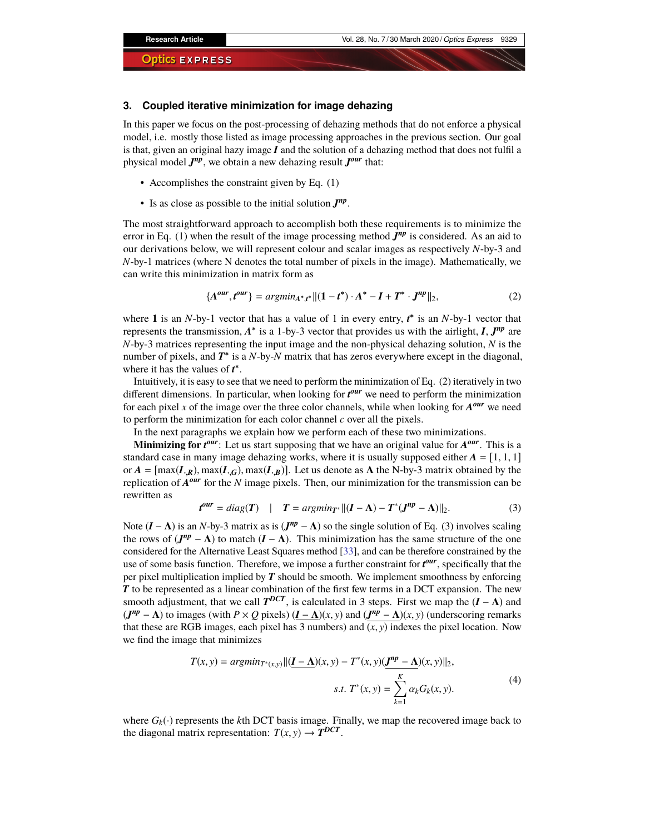#### **3. Coupled iterative minimization for image dehazing**

In this paper we focus on the post-processing of dehazing methods that do not enforce a physical model, i.e. mostly those listed as image processing approaches in the previous section. Our goal is that, given an original hazy image *I* and the solution of a dehazing method that does not fulfil a physical model  $J^{np}$ , we obtain a new dehazing result  $J^{our}$  that:

- Accomplishes the constraint given by Eq. (1)
- Is as close as possible to the initial solution  $J^{np}$ .

The most straightforward approach to accomplish both these requirements is to minimize the error in Eq. (1) when the result of the image processing method  $J^{np}$  is considered. As an aid to our derivations below, we will represent colour and scalar images as respectively *N*-by-3 and *N*-by-1 matrices (where N denotes the total number of pixels in the image). Mathematically, we can write this minimization in matrix form as

$$
\{A^{our}, t^{our}\} = argmin_{A^*, t^*} ||(1 - t^*) \cdot A^* - I + T^* \cdot J^{np}||_2,
$$
\n(2)

where 1 is an *N*-by-1 vector that has a value of 1 in every entry,  $t^*$  is an *N*-by-1 vector that represents the transmission,  $A^*$  is a 1-by-3 vector that provides us with the airlight,  $I, J^{np}$  are *N*-by-3 matrices representing the input image and the non-physical dehazing solution, *N* is the number of pixels, and  $T^*$  is a *N*-by-*N* matrix that has zeros everywhere except in the diagonal, where it has the values of  $t^*$ .

Intuitively, it is easy to see that we need to perform the minimization of Eq. (2) iteratively in two different dimensions. In particular, when looking for  $t^{our}$  we need to perform the minimization for each pixel  $x$  of the image over the three color channels, while when looking for  $A^{our}$  we need to perform the minimization for each color channel *c* over all the pixels.

In the next paragraphs we explain how we perform each of these two minimizations.

**Minimizing for**  $t^{our}$ : Let us start supposing that we have an original value for  $A^{our}$ . This is a standard case in many image dehazing works, where it is usually supposed either  $A = \begin{bmatrix} 1, 1, 1 \end{bmatrix}$ or  $A = [\max(I_{\mathbf{R}}, \max(I_{\mathbf{R}}, G), \max(I_{\mathbf{R}}, B)]$ . Let us denote as  $\Lambda$  the N-by-3 matrix obtained by the replication of *A our* for the *N* image pixels. Then, our minimization for the transmission can be rewritten as

$$
t^{our} = diag(T) \quad | \quad T = argmin_{T^*} ||(I - \Lambda) - T^*(J^{np} - \Lambda)||_2. \tag{3}
$$

Note  $(I - \Lambda)$  is an *N*-by-3 matrix as is  $(J^{np} - \Lambda)$  so the single solution of Eq. (3) involves scaling the rows of  $(J^{np} - \Lambda)$  to match  $(I - \Lambda)$ . This minimization has the same structure of the one considered for the Alternative Least Squares method [\[33\]](#page-12-6), and can be therefore constrained by the use of some basis function. Therefore, we impose a further constraint for  $t^{our}$ , specifically that the per pixel multiplication implied by *T* should be smooth. We implement smoothness by enforcing *T* to be represented as a linear combination of the first few terms in a DCT expansion. The new smooth adjustment, that we call  $T^{DCT}$ , is calculated in 3 steps. First we map the  $(I - \Lambda)$  and  $(J^{np} - \Lambda)$  to images (with  $P \times Q$  pixels)  $(I - \Lambda)(x, y)$  and  $(J^{np} - \Lambda)(x, y)$  (underscoring remarks that these are RGB images, each pixel has 3 numbers) and  $(x, y)$  indexes the pixel location. Now we find the image that minimizes

$$
T(x, y) = argmin_{T^*(x, y)} ||(\underline{I - \Delta})(x, y) - T^*(x, y)(\underline{J^{np} - \Delta})(x, y)||_2,
$$
  
s.t.  $T^*(x, y) = \sum_{k=1}^K \alpha_k G_k(x, y).$  (4)

where  $G_k(\cdot)$  represents the *k*th DCT basis image. Finally, we map the recovered image back to the diagonal matrix representation:  $T(x, y) \rightarrow T^{DCT}$ .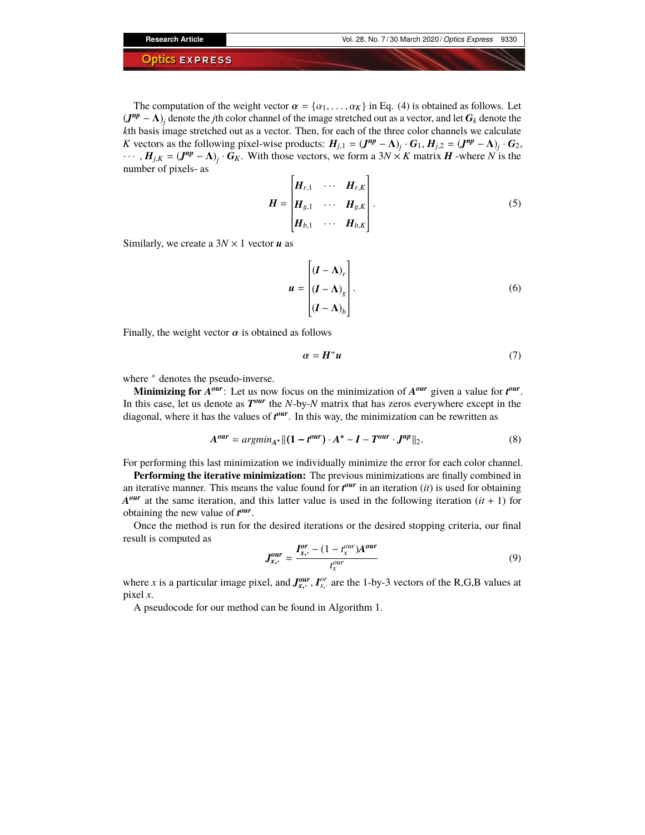The computation of the weight vector  $\alpha = \{\alpha_1, \dots, \alpha_K\}$  in Eq. (4) is obtained as follows. Let  $(J^{np} - \Lambda)_j$  denote the *j*th color channel of the image stretched out as a vector, and let  $G_k$  denote the *k*th basis image stretched out as a vector. Then, for each of the three color channels we calculate *K* vectors as the following pixel-wise products:  $H_{j,1} = (J^{np} - \Lambda)_j \cdot G_1, H_{j,2} = (J^{np} - \Lambda)_j \cdot G_2$ ,  $\cdots$ ,  $H_{j,K} = (J^{np} - \Lambda)_j \cdot G_K$ . With those vectors, we form a 3*N* × *K* matrix *H* -where *N* is the number of pixels- as

$$
\boldsymbol{H} = \begin{bmatrix} \boldsymbol{H}_{r,1} & \cdots & \boldsymbol{H}_{r,K} \\ \boldsymbol{H}_{g,1} & \cdots & \boldsymbol{H}_{g,K} \\ \boldsymbol{H}_{b,1} & \cdots & \boldsymbol{H}_{b,K} \end{bmatrix} .
$$
 (5)

Similarly, we create a 3*N* × 1 vector *u* as

$$
u = \begin{bmatrix} (I - \Lambda)_r \\ (I - \Lambda)_g \\ (I - \Lambda)_b \end{bmatrix}.
$$
 (6)

Finally, the weight vector  $\alpha$  is obtained as follows

$$
\alpha = H^+ u \tag{7}
$$

where  $+$  denotes the pseudo-inverse.

**Minimizing for**  $A^{our}$ : Let us now focus on the minimization of  $A^{our}$  given a value for  $t^{our}$ . In this case, let us denote as  $T^{our}$  the *N*-by-*N* matrix that has zeros everywhere except in the diagonal, where it has the values of  $t^{our}$ . In this way, the minimization can be rewritten as

$$
A^{our} = argmin_{A^*} ||(1 - t^{our}) \cdot A^* - I - T^{our} \cdot J^{np}||_2.
$$
 (8)

For performing this last minimization we individually minimize the error for each color channel.

**Performing the iterative minimization:** The previous minimizations are finally combined in an iterative manner. This means the value found for  $t^{our}$  in an iteration (*it*) is used for obtaining  $A^{our}$  at the same iteration, and this latter value is used in the following iteration  $(it + 1)$  for obtaining the new value of  $t^{our}$ .

Once the method is run for the desired iterations or the desired stopping criteria, our final result is computed as

$$
J_{x,+}^{our} = \frac{I_{x,+}^{or} - (1 - t_{x}^{our})A^{our}}{t_{x}^{our}}
$$
(9)

where *x* is a particular image pixel, and  $J_{x}^{our}$ ,  $I_{x}^{or}$  are the 1-by-3 vectors of the R,G,B values at pixel *x*.

A pseudocode for our method can be found in Algorithm 1.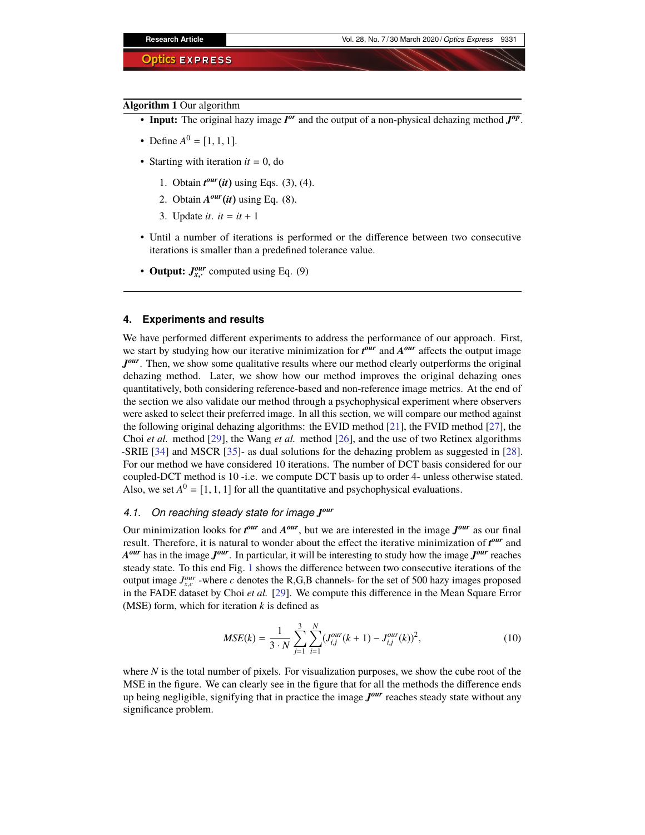#### **Algorithm 1** Our algorithm

- **Input:** The original hazy image  $I^{or}$  and the output of a non-physical dehazing method  $J^{np}$ .
- Define  $A^0 = [1, 1, 1].$
- Starting with iteration  $it = 0$ , do
	- 1. Obtain *t our*(*it*) using Eqs. (3), (4).
	- 2. Obtain  $A^{our}(it)$  using Eq. (8).
	- 3. Update *it*.  $it = it + 1$
- Until a number of iterations is performed or the difference between two consecutive iterations is smaller than a predefined tolerance value.
- Output:  $J_{x}^{our}$  computed using Eq. (9)

#### **4. Experiments and results**

We have performed different experiments to address the performance of our approach. First, we start by studying how our iterative minimization for  $t^{our}$  and  $A^{our}$  affects the output image Jour. Then, we show some qualitative results where our method clearly outperforms the original dehazing method. Later, we show how our method improves the original dehazing ones quantitatively, both considering reference-based and non-reference image metrics. At the end of the section we also validate our method through a psychophysical experiment where observers were asked to select their preferred image. In all this section, we will compare our method against the following original dehazing algorithms: the EVID method [\[21\]](#page-11-16), the FVID method [\[27\]](#page-12-0), the Choi *et al.* method [\[29\]](#page-12-2), the Wang *et al.* method [\[26\]](#page-11-17), and the use of two Retinex algorithms -SRIE [\[34\]](#page-12-7) and MSCR [\[35\]](#page-12-8)- as dual solutions for the dehazing problem as suggested in [\[28\]](#page-12-1). For our method we have considered 10 iterations. The number of DCT basis considered for our coupled-DCT method is 10 -i.e. we compute DCT basis up to order 4- unless otherwise stated. Also, we set  $A^0 = [1, 1, 1]$  for all the quantitative and psychophysical evaluations.

# *4.1. On reaching steady state for image J our*

Our minimization looks for  $t^{our}$  and  $A^{our}$ , but we are interested in the image  $J^{our}$  as our final result. Therefore, it is natural to wonder about the effect the iterative minimization of  $t^{our}$  and *A our* has in the image *J our*. In particular, it will be interesting to study how the image *J our* reaches steady state. To this end Fig. [1](#page-5-0) shows the difference between two consecutive iterations of the output image  $J_{x,c}^{our}$  -where *c* denotes the R,G,B channels- for the set of 500 hazy images proposed in the FADE dataset by Choi *et al.* [\[29\]](#page-12-2). We compute this difference in the Mean Square Error (MSE) form, which for iteration *k* is defined as

$$
MSE(k) = \frac{1}{3 \cdot N} \sum_{j=1}^{3} \sum_{i=1}^{N} (J_{i,j}^{our}(k+1) - J_{i,j}^{our}(k))^{2},
$$
\n(10)

where *N* is the total number of pixels. For visualization purposes, we show the cube root of the MSE in the figure. We can clearly see in the figure that for all the methods the difference ends up being negligible, signifying that in practice the image *J our* reaches steady state without any significance problem.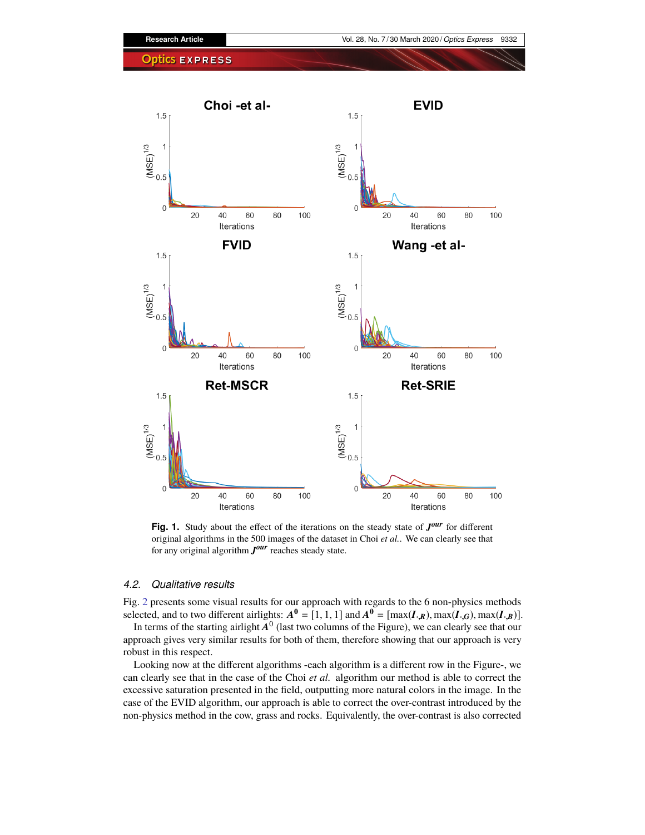

<span id="page-5-0"></span>Fig. 1. Study about the effect of the iterations on the steady state of  $J^{our}$  for different original algorithms in the 500 images of the dataset in Choi *et al.*. We can clearly see that for any original algorithm *J our* reaches steady state.

#### *4.2. Qualitative results*

Fig. [2](#page-6-0) presents some visual results for our approach with regards to the 6 non-physics methods selected, and to two different airlights:  $A^0 = [1, 1, 1]$  and  $A^0 = [\max(I_{\cdot,R}), \max(I_{\cdot,G}), \max(I_{\cdot,B})]$ .

In terms of the starting airlight  $A^0$  (last two columns of the Figure), we can clearly see that our approach gives very similar results for both of them, therefore showing that our approach is very robust in this respect.

Looking now at the different algorithms -each algorithm is a different row in the Figure-, we can clearly see that in the case of the Choi *et al.* algorithm our method is able to correct the excessive saturation presented in the field, outputting more natural colors in the image. In the case of the EVID algorithm, our approach is able to correct the over-contrast introduced by the non-physics method in the cow, grass and rocks. Equivalently, the over-contrast is also corrected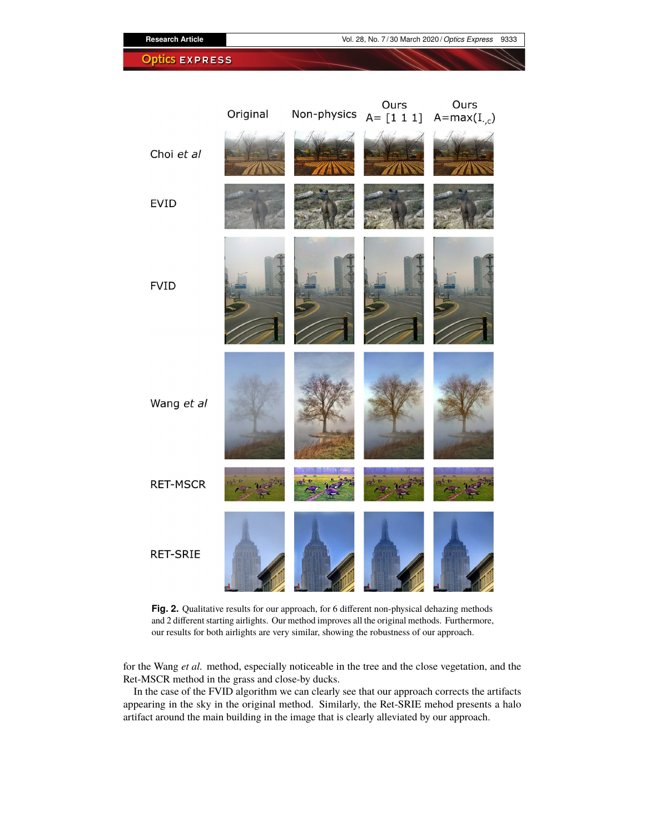Ours Ours Original Non-physics  $A = [1 1 1]$   $A = max(I_{.,c})$ Choi et al **EVID FVID** Wang et al **RET-MSCR RET-SRIE** 

**Research Article** Vol. 28, No. 7 / 30 March 2020 / *Optics Express* 9333

**Optics EXPRESS** 

<span id="page-6-0"></span>Fig. 2. Qualitative results for our approach, for 6 different non-physical dehazing methods and 2 different starting airlights. Our method improves all the original methods. Furthermore, our results for both airlights are very similar, showing the robustness of our approach.

for the Wang *et al.* method, especially noticeable in the tree and the close vegetation, and the Ret-MSCR method in the grass and close-by ducks.

In the case of the FVID algorithm we can clearly see that our approach corrects the artifacts appearing in the sky in the original method. Similarly, the Ret-SRIE mehod presents a halo artifact around the main building in the image that is clearly alleviated by our approach.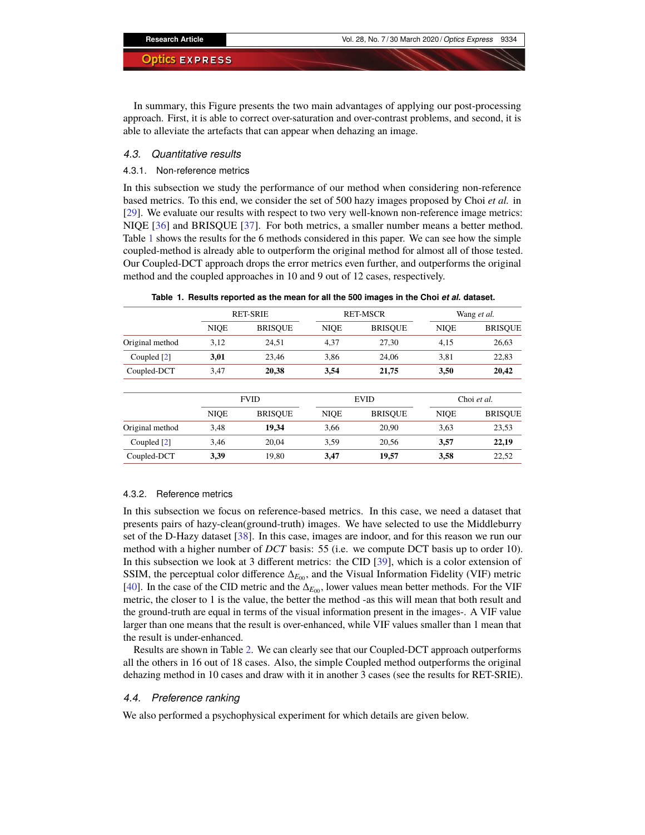In summary, this Figure presents the two main advantages of applying our post-processing approach. First, it is able to correct over-saturation and over-contrast problems, and second, it is able to alleviate the artefacts that can appear when dehazing an image.

#### *4.3. Quantitative results*

#### 4.3.1. Non-reference metrics

In this subsection we study the performance of our method when considering non-reference based metrics. To this end, we consider the set of 500 hazy images proposed by Choi *et al.* in [\[29\]](#page-12-2). We evaluate our results with respect to two very well-known non-reference image metrics: NIQE [\[36\]](#page-12-9) and BRISQUE [\[37\]](#page-12-10). For both metrics, a smaller number means a better method. Table [1](#page-7-0) shows the results for the 6 methods considered in this paper. We can see how the simple coupled-method is already able to outperform the original method for almost all of those tested. Our Coupled-DCT approach drops the error metrics even further, and outperforms the original method and the coupled approaches in 10 and 9 out of 12 cases, respectively.

|  |  |  |  | Table 1. Results reported as the mean for all the 500 images in the Choi <i>et al.</i> dataset. |  |  |  |  |  |  |  |  |  |  |  |  |  |  |  |  |
|--|--|--|--|-------------------------------------------------------------------------------------------------|--|--|--|--|--|--|--|--|--|--|--|--|--|--|--|--|
|--|--|--|--|-------------------------------------------------------------------------------------------------|--|--|--|--|--|--|--|--|--|--|--|--|--|--|--|--|

<span id="page-7-0"></span>

|                 |             | <b>RET-SRIE</b> |             | <b>RET-MSCR</b> | Wang et al. |                |  |
|-----------------|-------------|-----------------|-------------|-----------------|-------------|----------------|--|
|                 | <b>NIQE</b> | <b>BRISOUE</b>  | <b>NIOE</b> | <b>BRISOUE</b>  | <b>NIOE</b> | <b>BRISQUE</b> |  |
| Original method | 3,12        | 24,51           | 4,37        | 27.30           | 4,15        | 26,63          |  |
| Coupled [2]     | 3,01        | 23.46           | 3,86        | 24,06           | 3,81        | 22,83          |  |
| Coupled-DCT     | 3,47        | 20,38           | 3,54        | 21,75           | 3,50        | 20,42          |  |
|                 | <b>FVID</b> |                 |             | <b>EVID</b>     |             | Choi et al.    |  |
|                 | <b>NIQE</b> | <b>BRISOUE</b>  | <b>NIOE</b> | <b>BRISOUE</b>  | <b>NIOE</b> | <b>BRISOUE</b> |  |
| Original method | 3.48        | 19.34           | 3,66        | 20,90           | 3.63        | 23,53          |  |
| Coupled [2]     | 3,46        | 20,04           | 3,59        | 20,56           | 3,57        | 22,19          |  |
| Coupled-DCT     | 3,39        | 19,80           | 3,47        | 19,57           | 3,58        | 22,52          |  |

#### 4.3.2. Reference metrics

In this subsection we focus on reference-based metrics. In this case, we need a dataset that presents pairs of hazy-clean(ground-truth) images. We have selected to use the Middleburry set of the D-Hazy dataset [\[38\]](#page-12-11). In this case, images are indoor, and for this reason we run our method with a higher number of *DCT* basis: 55 (i.e. we compute DCT basis up to order 10). In this subsection we look at 3 different metrics: the CID [\[39\]](#page-12-12), which is a color extension of SSIM, the perceptual color difference Δ<sub>*E*00</sub>, and the Visual Information Fidelity (VIF) metric [\[40\]](#page-12-13). In the case of the CID metric and the  $\Delta_{E_{00}}$ , lower values mean better methods. For the VIF metric, the closer to 1 is the value, the better the method -as this will mean that both result and the ground-truth are equal in terms of the visual information present in the images-. A VIF value larger than one means that the result is over-enhanced, while VIF values smaller than 1 mean that the result is under-enhanced.

Results are shown in Table [2.](#page-8-0) We can clearly see that our Coupled-DCT approach outperforms all the others in 16 out of 18 cases. Also, the simple Coupled method outperforms the original dehazing method in 10 cases and draw with it in another 3 cases (see the results for RET-SRIE).

#### *4.4. Preference ranking*

We also performed a psychophysical experiment for which details are given below.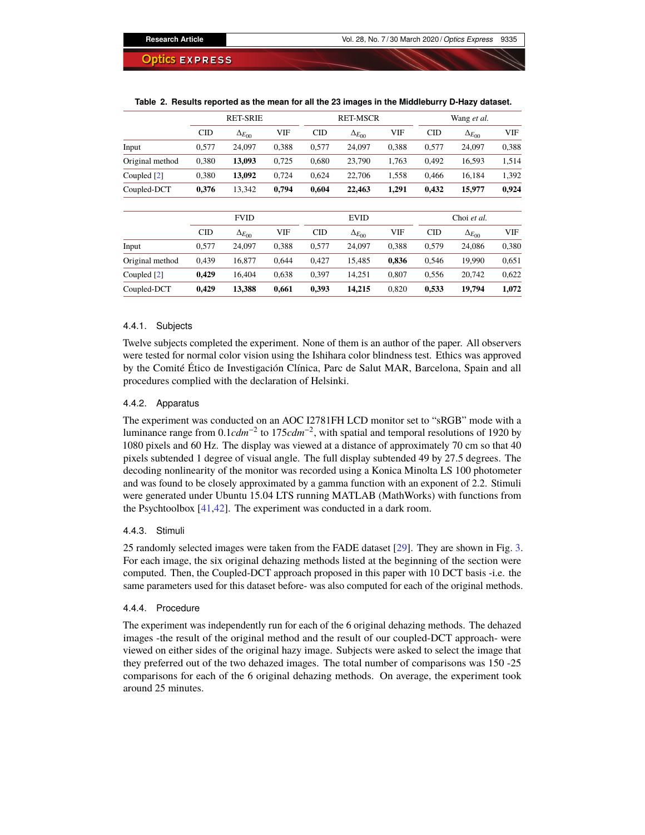|                 |       | <b>RET-SRIE</b>   |            |            | <b>RET-MSCR</b>   |       | Wang et al. |                   |            |  |
|-----------------|-------|-------------------|------------|------------|-------------------|-------|-------------|-------------------|------------|--|
|                 | CID   | $\Delta_{E_{00}}$ | <b>VIF</b> | <b>CID</b> | $\Delta_{E_{00}}$ | VIF   | <b>CID</b>  | $\Delta_{E_{00}}$ | <b>VIF</b> |  |
| Input           | 0,577 | 24,097            | 0,388      | 0,577      | 24,097            | 0,388 | 0,577       | 24,097            | 0,388      |  |
| Original method | 0,380 | 13,093            | 0,725      | 0,680      | 23,790            | 1,763 | 0,492       | 16,593            | 1,514      |  |
| Coupled [2]     | 0,380 | 13,092            | 0,724      | 0,624      | 22,706            | 1,558 | 0,466       | 16,184            | 1,392      |  |
| Coupled-DCT     | 0,376 | 13,342            | 0,794      | 0,604      | 22,463            | 1,291 | 0,432       | 15,977            | 0,924      |  |
|                 |       | <b>FVID</b>       |            |            | <b>EVID</b>       |       |             | Choi et al.       |            |  |
|                 | CID   | $\Delta_{E_{00}}$ | <b>VIF</b> | <b>CID</b> | $\Delta_{E_{00}}$ | VIF   | <b>CID</b>  | $\Delta_{E_{00}}$ | <b>VIF</b> |  |
| Input           | 0,577 | 24,097            | 0,388      | 0,577      | 24,097            | 0,388 | 0,579       | 24,086            | 0,380      |  |
| Original method | 0,439 | 16.877            | 0.644      | 0,427      | 15,485            | 0,836 | 0,546       | 19,990            | 0.651      |  |
| Coupled [2]     | 0,429 | 16,404            | 0,638      | 0,397      | 14,251            | 0,807 | 0,556       | 20,742            | 0,622      |  |
| Coupled-DCT     | 0,429 | 13,388            | 0,661      | 0,393      | 14,215            | 0,820 | 0,533       | 19,794            | 1,072      |  |

#### <span id="page-8-0"></span>**Table 2. Results reported as the mean for all the 23 images in the Middleburry D-Hazy dataset.**

#### 4.4.1. Subjects

Twelve subjects completed the experiment. None of them is an author of the paper. All observers were tested for normal color vision using the Ishihara color blindness test. Ethics was approved by the Comité Ético de Investigación Clínica, Parc de Salut MAR, Barcelona, Spain and all procedures complied with the declaration of Helsinki.

#### 4.4.2. Apparatus

The experiment was conducted on an AOC I2781FH LCD monitor set to "sRGB" mode with a luminance range from 0.1*cdm*−<sup>2</sup> to 175*cdm*−<sup>2</sup> , with spatial and temporal resolutions of 1920 by 1080 pixels and 60 Hz. The display was viewed at a distance of approximately 70 cm so that 40 pixels subtended 1 degree of visual angle. The full display subtended 49 by 27.5 degrees. The decoding nonlinearity of the monitor was recorded using a Konica Minolta LS 100 photometer and was found to be closely approximated by a gamma function with an exponent of 2.2. Stimuli were generated under Ubuntu 15.04 LTS running MATLAB (MathWorks) with functions from the Psychtoolbox [\[41](#page-12-14)[,42\]](#page-12-15). The experiment was conducted in a dark room.

#### 4.4.3. Stimuli

25 randomly selected images were taken from the FADE dataset [\[29\]](#page-12-2). They are shown in Fig. [3.](#page-9-0) For each image, the six original dehazing methods listed at the beginning of the section were computed. Then, the Coupled-DCT approach proposed in this paper with 10 DCT basis -i.e. the same parameters used for this dataset before- was also computed for each of the original methods.

#### 4.4.4. Procedure

The experiment was independently run for each of the 6 original dehazing methods. The dehazed images -the result of the original method and the result of our coupled-DCT approach- were viewed on either sides of the original hazy image. Subjects were asked to select the image that they preferred out of the two dehazed images. The total number of comparisons was 150 -25 comparisons for each of the 6 original dehazing methods. On average, the experiment took around 25 minutes.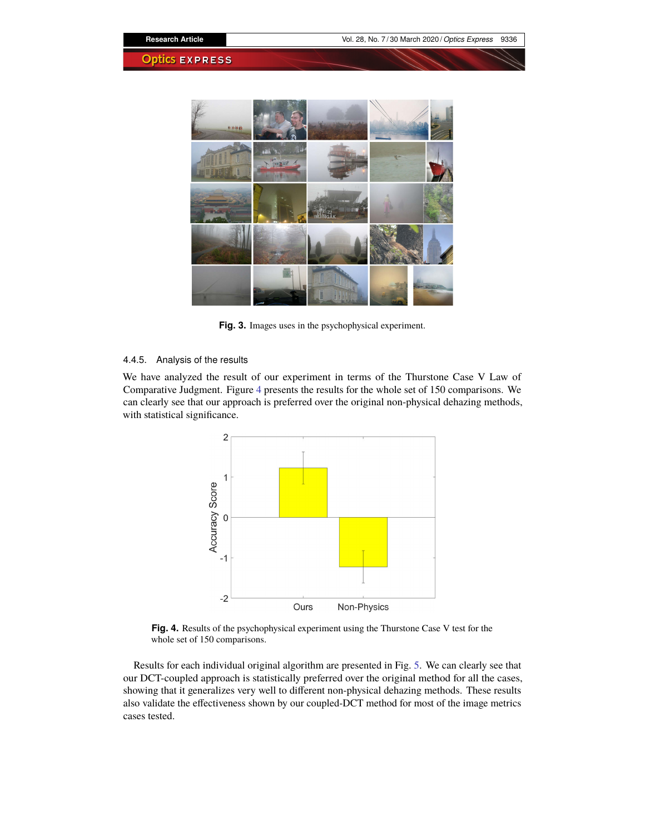

**Fig. 3.** Images uses in the psychophysical experiment.

## <span id="page-9-0"></span>4.4.5. Analysis of the results

We have analyzed the result of our experiment in terms of the Thurstone Case V Law of Comparative Judgment. Figure [4](#page-9-1) presents the results for the whole set of 150 comparisons. We can clearly see that our approach is preferred over the original non-physical dehazing methods, with statistical significance.



<span id="page-9-1"></span>**Fig. 4.** Results of the psychophysical experiment using the Thurstone Case V test for the whole set of 150 comparisons.

Results for each individual original algorithm are presented in Fig. [5.](#page-10-0) We can clearly see that our DCT-coupled approach is statistically preferred over the original method for all the cases, showing that it generalizes very well to different non-physical dehazing methods. These results also validate the effectiveness shown by our coupled-DCT method for most of the image metrics cases tested.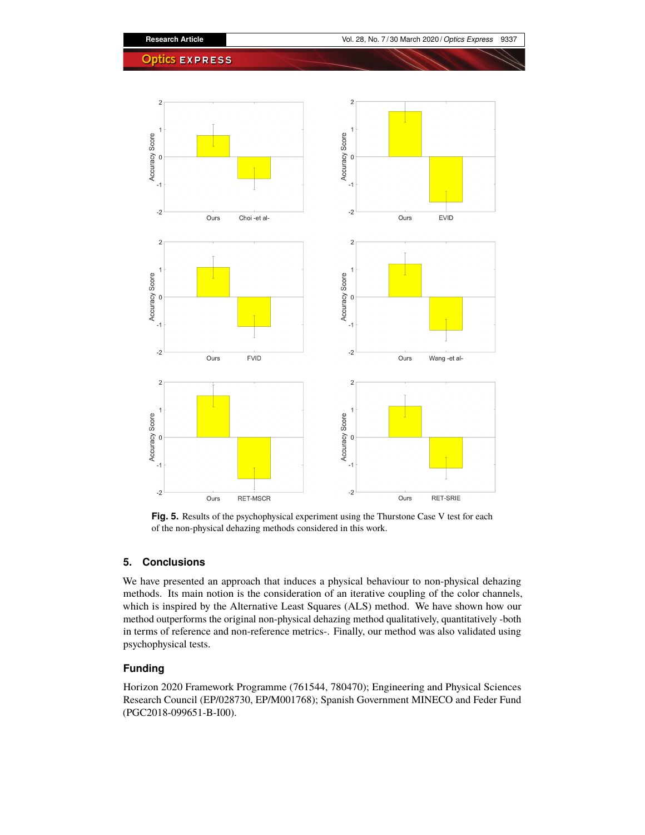

<span id="page-10-0"></span>**Fig. 5.** Results of the psychophysical experiment using the Thurstone Case V test for each of the non-physical dehazing methods considered in this work.

# **5. Conclusions**

We have presented an approach that induces a physical behaviour to non-physical dehazing methods. Its main notion is the consideration of an iterative coupling of the color channels, which is inspired by the Alternative Least Squares (ALS) method. We have shown how our method outperforms the original non-physical dehazing method qualitatively, quantitatively -both in terms of reference and non-reference metrics-. Finally, our method was also validated using psychophysical tests.

# **Funding**

Horizon 2020 Framework Programme (761544, 780470); Engineering and Physical Sciences Research Council (EP/028730, EP/M001768); Spanish Government MINECO and Feder Fund (PGC2018-099651-B-I00).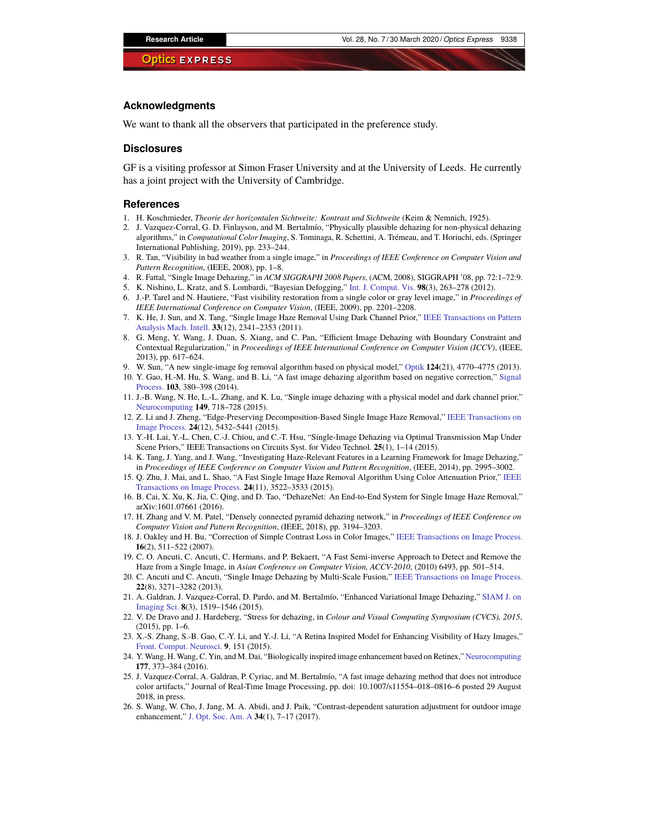#### **Acknowledgments**

We want to thank all the observers that participated in the preference study.

#### **Disclosures**

GF is a visiting professor at Simon Fraser University and at the University of Leeds. He currently has a joint project with the University of Cambridge.

#### **References**

- <span id="page-11-0"></span>1. H. Koschmieder, *Theorie der horizontalen Sichtweite: Kontrast und Sichtweite* (Keim & Nemnich, 1925).
- <span id="page-11-1"></span>2. J. Vazquez-Corral, G. D. Finlayson, and M. Bertalmío, "Physically plausible dehazing for non-physical dehazing algorithms," in *Computational Color Imaging*, S. Tominaga, R. Schettini, A. Trémeau, and T. Horiuchi, eds. (Springer International Publishing, 2019), pp. 233–244.
- <span id="page-11-2"></span>3. R. Tan, "Visibility in bad weather from a single image," in *Proceedings of IEEE Conference on Computer Vision and Pattern Recognition*, (IEEE, 2008), pp. 1–8.
- <span id="page-11-3"></span>4. R. Fattal, "Single Image Dehazing," in *ACM SIGGRAPH 2008 Papers*, (ACM, 2008), SIGGRAPH '08, pp. 72:1–72:9.
- <span id="page-11-4"></span>5. K. Nishino, L. Kratz, and S. Lombardi, "Bayesian Defogging," [Int. J. Comput. Vis.](https://doi.org/10.1007/s11263-011-0508-1) **98**(3), 263–278 (2012).
- <span id="page-11-5"></span>6. J.-P. Tarel and N. Hautiere, "Fast visibility restoration from a single color or gray level image," in *Proceedings of IEEE International Conference on Computer Vision*, (IEEE, 2009), pp. 2201–2208.
- <span id="page-11-6"></span>7. K. He, J. Sun, and X. Tang, "Single Image Haze Removal Using Dark Channel Prior," [IEEE Transactions on Pattern](https://doi.org/10.1109/TPAMI.2010.168) [Analysis Mach. Intell.](https://doi.org/10.1109/TPAMI.2010.168) **33**(12), 2341–2353 (2011).
- <span id="page-11-7"></span>8. G. Meng, Y. Wang, J. Duan, S. Xiang, and C. Pan, "Efficient Image Dehazing with Boundary Constraint and Contextual Regularization," in *Proceedings of IEEE International Conference on Computer Vision (ICCV)*, (IEEE, 2013), pp. 617–624.
- 9. W. Sun, "A new single-image fog removal algorithm based on physical model," [Optik](https://doi.org/10.1016/j.ijleo.2013.01.097) **124**(21), 4770–4775 (2013).
- 10. Y. Gao, H.-M. Hu, S. Wang, and B. Li, "A fast image dehazing algorithm based on negative correction," [Signal](https://doi.org/10.1016/j.sigpro.2014.02.016) [Process.](https://doi.org/10.1016/j.sigpro.2014.02.016) **103**, 380–398 (2014).
- 11. J.-B. Wang, N. He, L.-L. Zhang, and K. Lu, "Single image dehazing with a physical model and dark channel prior," [Neurocomputing](https://doi.org/10.1016/j.neucom.2014.08.005) **149**, 718–728 (2015).
- 12. Z. Li and J. Zheng, "Edge-Preserving Decomposition-Based Single Image Haze Removal," [IEEE Transactions on](https://doi.org/10.1109/TIP.2015.2482903) [Image Process.](https://doi.org/10.1109/TIP.2015.2482903) **24**(12), 5432–5441 (2015).
- <span id="page-11-8"></span>13. Y.-H. Lai, Y.-L. Chen, C.-J. Chiou, and C.-T. Hsu, "Single-Image Dehazing via Optimal Transmission Map Under Scene Priors," IEEE Transactions on Circuits Syst. for Video Technol. **25**(1), 1–14 (2015).
- <span id="page-11-9"></span>14. K. Tang, J. Yang, and J. Wang, "Investigating Haze-Relevant Features in a Learning Framework for Image Dehazing," in *Proceedings of IEEE Conference on Computer Vision and Pattern Recognition*, (IEEE, 2014), pp. 2995–3002.
- <span id="page-11-10"></span>15. Q. Zhu, J. Mai, and L. Shao, "A Fast Single Image Haze Removal Algorithm Using Color Attenuation Prior," [IEEE](https://doi.org/10.1109/TIP.2015.2446191) [Transactions on Image Process.](https://doi.org/10.1109/TIP.2015.2446191) **24**(11), 3522–3533 (2015).
- <span id="page-11-11"></span>16. B. Cai, X. Xu, K. Jia, C. Qing, and D. Tao, "DehazeNet: An End-to-End System for Single Image Haze Removal," arXiv:1601.07661 (2016).
- <span id="page-11-12"></span>17. H. Zhang and V. M. Patel, "Densely connected pyramid dehazing network," in *Proceedings of IEEE Conference on Computer Vision and Pattern Recognition*, (IEEE, 2018), pp. 3194–3203.
- <span id="page-11-13"></span>18. J. Oakley and H. Bu, "Correction of Simple Contrast Loss in Color Images," [IEEE Transactions on Image Process.](https://doi.org/10.1109/TIP.2006.887736) **16**(2), 511–522 (2007).
- <span id="page-11-14"></span>19. C. O. Ancuti, C. Ancuti, C. Hermans, and P. Bekaert, "A Fast Semi-inverse Approach to Detect and Remove the Haze from a Single Image, in *Asian Conference on Computer Vision, ACCV-2010*, (2010) 6493, pp. 501–514.
- <span id="page-11-15"></span>20. C. Ancuti and C. Ancuti, "Single Image Dehazing by Multi-Scale Fusion," [IEEE Transactions on Image Process.](https://doi.org/10.1109/TIP.2013.2262284) **22**(8), 3271–3282 (2013).
- <span id="page-11-16"></span>21. A. Galdran, J. Vazquez-Corral, D. Pardo, and M. Bertalmío, "Enhanced Variational Image Dehazing," [SIAM J. on](https://doi.org/10.1137/15M1008889) [Imaging Sci.](https://doi.org/10.1137/15M1008889) **8**(3), 1519–1546 (2015).
- 22. V. De Dravo and J. Hardeberg, "Stress for dehazing, in *Colour and Visual Computing Symposium (CVCS), 2015*,  $(2015)$ , pp. 1–6.
- 23. X.-S. Zhang, S.-B. Gao, C.-Y. Li, and Y.-J. Li, "A Retina Inspired Model for Enhancing Visibility of Hazy Images," [Front. Comput. Neurosci.](https://doi.org/10.3389/fncom.2015.00151) **9**, 151 (2015).
- 24. Y. Wang, H. Wang, C. Yin, and M. Dai, "Biologically inspired image enhancement based on Retinex," [Neurocomputing](https://doi.org/10.1016/j.neucom.2015.10.124) **177**, 373–384 (2016).
- 25. J. Vazquez-Corral, A. Galdran, P. Cyriac, and M. Bertalmío, "A fast image dehazing method that does not introduce color artifacts," Journal of Real-Time Image Processing, pp. doi: 10.1007/s11554–018–0816–6 posted 29 August 2018, in press.
- <span id="page-11-17"></span>26. S. Wang, W. Cho, J. Jang, M. A. Abidi, and J. Paik, "Contrast-dependent saturation adjustment for outdoor image enhancement," [J. Opt. Soc. Am. A](https://doi.org/10.1364/JOSAA.34.000007) **34**(1), 7–17 (2017).